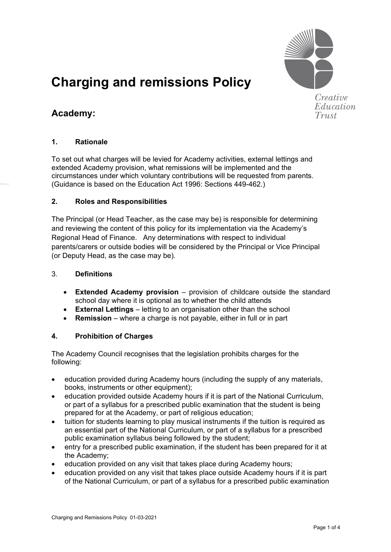

Education Trust

# **Charging and remissions Policy**

## **Academy:**

#### **1. Rationale**

To set out what charges will be levied for Academy activities, external lettings and extended Academy provision, what remissions will be implemented and the circumstances under which voluntary contributions will be requested from parents. (Guidance is based on the Education Act 1996: Sections 449-462.)

#### **2. Roles and Responsibilities**

The Principal (or Head Teacher, as the case may be) is responsible for determining and reviewing the content of this policy for its implementation via the Academy's Regional Head of Finance. Any determinations with respect to individual parents/carers or outside bodies will be considered by the Principal or Vice Principal (or Deputy Head, as the case may be)*.*

#### 3. **Definitions**

- **Extended Academy provision** provision of childcare outside the standard school day where it is optional as to whether the child attends
- **External Lettings** letting to an organisation other than the school
- **Remission** where a charge is not payable, either in full or in part

#### **4. Prohibition of Charges**

The Academy Council recognises that the legislation prohibits charges for the following:

- education provided during Academy hours (including the supply of any materials, books, instruments or other equipment);
- education provided outside Academy hours if it is part of the National Curriculum, or part of a syllabus for a prescribed public examination that the student is being prepared for at the Academy, or part of religious education;
- tuition for students learning to play musical instruments if the tuition is required as an essential part of the National Curriculum, or part of a syllabus for a prescribed public examination syllabus being followed by the student;
- entry for a prescribed public examination, if the student has been prepared for it at the Academy;
- education provided on any visit that takes place during Academy hours;
- education provided on any visit that takes place outside Academy hours if it is part of the National Curriculum, or part of a syllabus for a prescribed public examination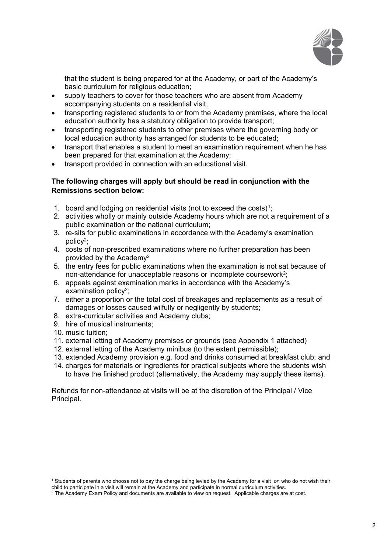

that the student is being prepared for at the Academy, or part of the Academy's basic curriculum for religious education;

- supply teachers to cover for those teachers who are absent from Academy accompanying students on a residential visit;
- transporting registered students to or from the Academy premises, where the local education authority has a statutory obligation to provide transport;
- transporting registered students to other premises where the governing body or local education authority has arranged for students to be educated;
- transport that enables a student to meet an examination requirement when he has been prepared for that examination at the Academy;
- transport provided in connection with an educational visit.

#### **The following charges will apply but should be read in conjunction with the Remissions section below:**

- 1. board and lodging on residential visits (not to exceed the costs)<sup>1</sup>;
- 2. activities wholly or mainly outside Academy hours which are not a requirement of a public examination or the national curriculum;
- 3. re-sits for public examinations in accordance with the Academy's examination policy2;
- 4. costs of non-prescribed examinations where no further preparation has been provided by the Academy2
- 5. the entry fees for public examinations when the examination is not sat because of non-attendance for unacceptable reasons or incomplete coursework2;
- 6. appeals against examination marks in accordance with the Academy's examination policy<sup>2</sup>:
- 7. either a proportion or the total cost of breakages and replacements as a result of damages or losses caused wilfully or negligently by students;
- 8. extra-curricular activities and Academy clubs;
- 9. hire of musical instruments;
- 10. music tuition;
- 11. external letting of Academy premises or grounds (see Appendix 1 attached)
- 12. external letting of the Academy minibus (to the extent permissible);
- 13. extended Academy provision e.g. food and drinks consumed at breakfast club; and
- 14. charges for materials or ingredients for practical subjects where the students wish to have the finished product (alternatively, the Academy may supply these items).

Refunds for non-attendance at visits will be at the discretion of the Principal / Vice Principal.

<span id="page-1-0"></span><sup>1</sup> Students of parents who choose not to pay the charge being levied by the Academy for a visit *or* who do not wish their child to participate in a visit will remain at the Academy and participate in normal curriculum activities.

<sup>2</sup> The Academy Exam Policy and documents are available to view on request. Applicable charges are at cost.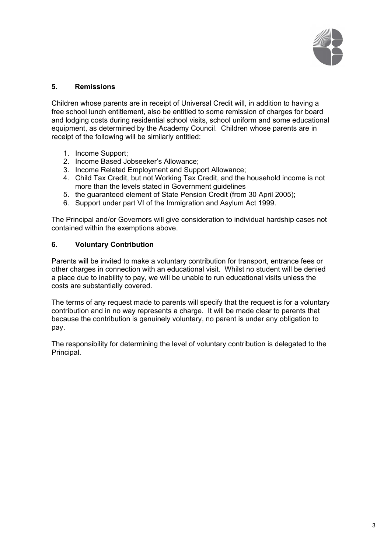

#### **5. Remissions**

Children whose parents are in receipt of Universal Credit will, in addition to having a free school lunch entitlement, also be entitled to some remission of charges for board and lodging costs during residential school visits, school uniform and some educational equipment, as determined by the Academy Council. Children whose parents are in receipt of the following will be similarly entitled:

- 1. Income Support;
- 2. Income Based Jobseeker's Allowance;
- 3. Income Related Employment and Support Allowance;
- 4. Child Tax Credit, but not Working Tax Credit, and the household income is not more than the levels stated in Government guidelines
- 5. the guaranteed element of State Pension Credit (from 30 April 2005);
- 6. Support under part VI of the Immigration and Asylum Act 1999.

The Principal and/or Governors will give consideration to individual hardship cases not contained within the exemptions above.

#### **6. Voluntary Contribution**

Parents will be invited to make a voluntary contribution for transport, entrance fees or other charges in connection with an educational visit. Whilst no student will be denied a place due to inability to pay, we will be unable to run educational visits unless the costs are substantially covered.

The terms of any request made to parents will specify that the request is for a voluntary contribution and in no way represents a charge. It will be made clear to parents that because the contribution is genuinely voluntary, no parent is under any obligation to pay.

The responsibility for determining the level of voluntary contribution is delegated to the Principal.